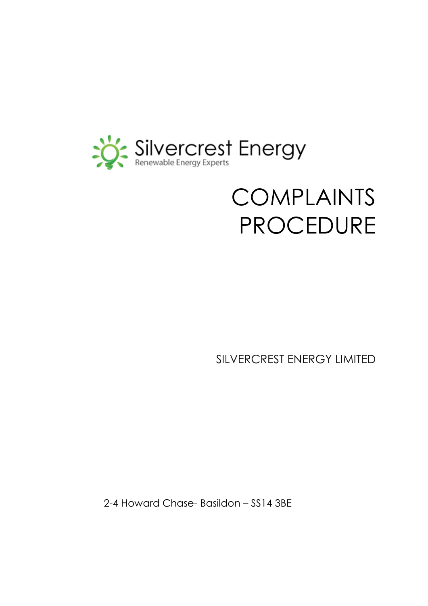

# COMPLAINTS PROCEDURE

SILVERCREST ENERGY LIMITED

2-4 Howard Chase- Basildon – SS14 3BE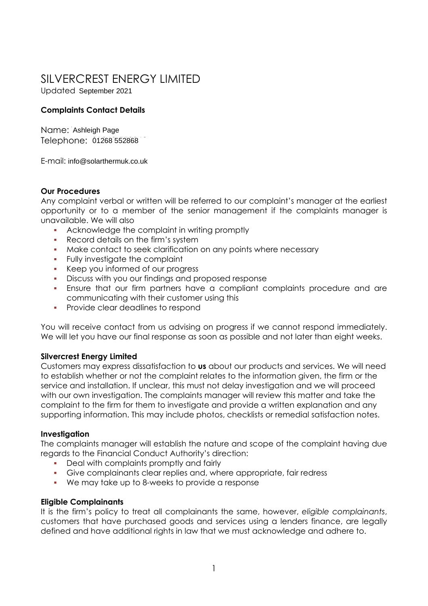# SILVERCREST ENERGY LIMITED

Updated September 2021

# **Complaints Contact Details**

Name: Ashleigh Page Telephone: 01268 552868 01268 552868

E-mail: info@solarthermuk.co.uk

# **Our Procedures**

Any complaint verbal or written will be referred to our complaint's manager at the earliest opportunity or to a member of the senior management if the complaints manager is unavailable. We will also

- Acknowledge the complaint in writing promptly
- **Record details on the firm's system**
- **Make contact to seek clarification on any points where necessary**
- **Fully investigate the complaint**
- Keep you informed of our progress
- Discuss with you our findings and proposed response
- Ensure that our firm partners have a compliant complaints procedure and are communicating with their customer using this
- **•** Provide clear deadlines to respond

You will receive contact from us advising on progress if we cannot respond immediately. We will let you have our final response as soon as possible and not later than eight weeks.

# **Silvercrest Energy Limited**

Customers may express dissatisfaction to **us** about our products and services. We will need to establish whether or not the complaint relates to the information given, the firm or the service and installation. If unclear, this must not delay investigation and we will proceed with our own investigation. The complaints manager will review this matter and take the complaint to the firm for them to investigate and provide a written explanation and any supporting information. This may include photos, checklists or remedial satisfaction notes.

# **Investigation**

The complaints manager will establish the nature and scope of the complaint having due regards to the Financial Conduct Authority's direction:

- Deal with complaints promptly and fairly
- Give complainants clear replies and, where appropriate, fair redress
- We may take up to 8-weeks to provide a response

# **Eligible Complainants**

It is the firm's policy to treat all complainants the same, however, *eligible complainants*, customers that have purchased goods and services using a lenders finance, are legally defined and have additional rights in law that we must acknowledge and adhere to.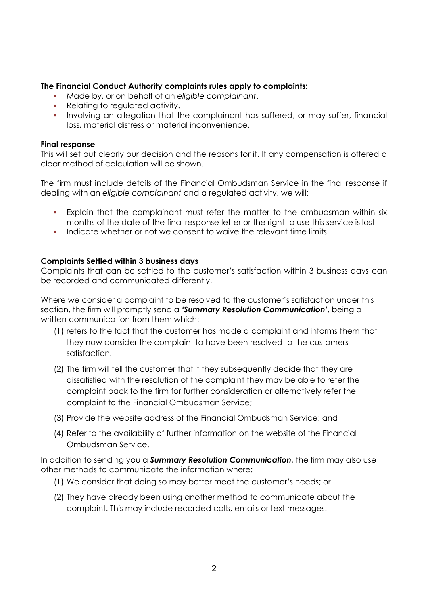# **The Financial Conduct Authority complaints rules apply to complaints:**

- Made by, or on behalf of an *eligible complainant*.
- Relating to regulated activity.
- Involving an allegation that the complainant has suffered, or may suffer, financial loss, material distress or material inconvenience.

#### **Final response**

This will set out clearly our decision and the reasons for it. If any compensation is offered a clear method of calculation will be shown.

The firm must include details of the Financial Ombudsman Service in the final response if dealing with an *eligible complainant* and a regulated activity, we will:

- Explain that the complainant must refer the matter to the ombudsman within six months of the date of the final response letter or the right to use this service is lost
- Indicate whether or not we consent to waive the relevant time limits.

#### **Complaints Settled within 3 business days**

Complaints that can be settled to the customer's satisfaction within 3 business days can be recorded and communicated differently.

Where we consider a complaint to be resolved to the customer's satisfaction under this section, the firm will promptly send a *'Summary Resolution Communication'*, being a written communication from them which:

- (1) refers to the fact that the customer has made a complaint and informs them that they now consider the complaint to have been resolved to the customers satisfaction.
- (2) The firm will tell the customer that if they subsequently decide that they are dissatisfied with the resolution of the complaint they may be able to refer the complaint back to the firm for further consideration or alternatively refer the complaint to the Financial Ombudsman Service;
- (3) Provide the website address of the Financial Ombudsman Service; and
- (4) Refer to the availability of further information on the website of the Financial Ombudsman Service.

In addition to sending you a *Summary Resolution Communication*, the firm may also use other methods to communicate the information where:

- (1) We consider that doing so may better meet the customer's needs; or
- (2) They have already been using another method to communicate about the complaint. This may include recorded calls, emails or text messages.